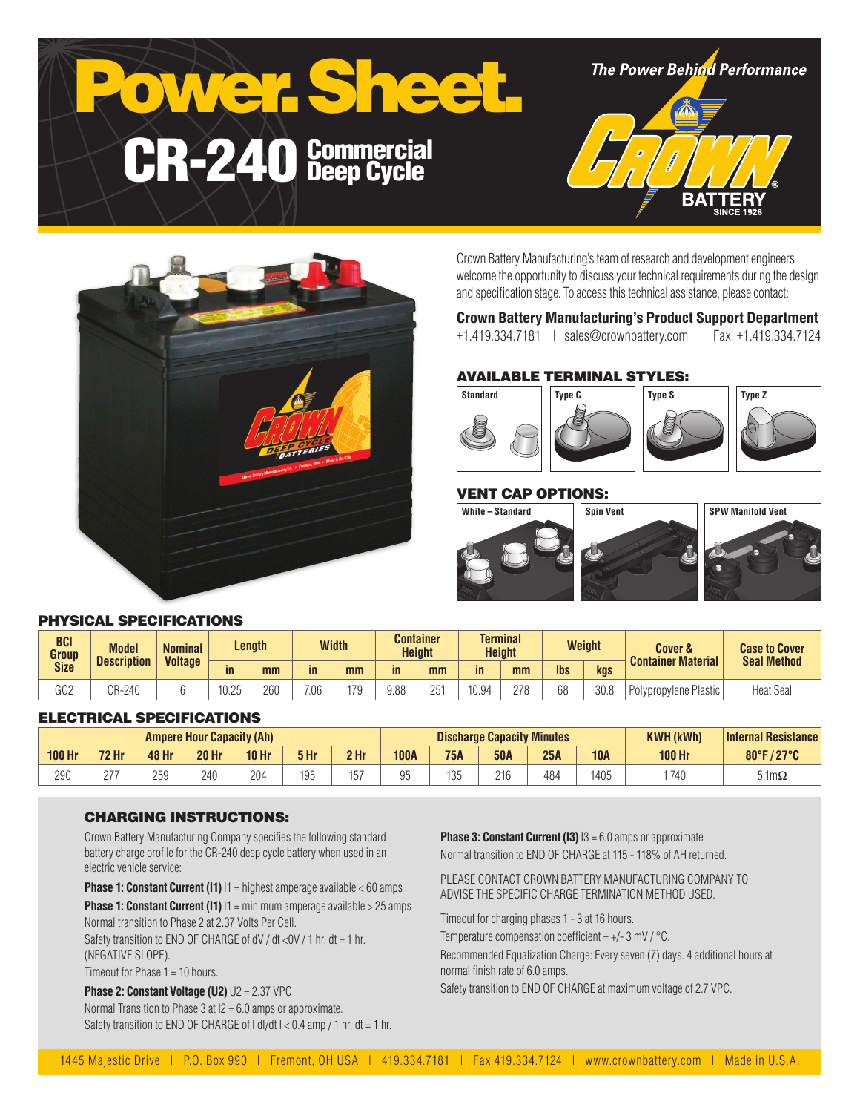



Crown Battery Manufacturing's team of research and development engineers welcome the opportunity to discuss your technical requirements during the design and specification stage. To access this technical assistance, please contact:

### **Crown Battery Manufacturing's Product Support Department**

+1.419.334.7181 | sales@crownbattery.com | Fax +1.419.334.7124

# AVAILABLE TERMINAL STYLES:



# VENT CAP OPTIONS:



# PHYSICAL SPECIFICATIONS

| <b>BCI</b><br>Group | <b>Model</b><br><b>Description</b> | <b>Nominal</b><br><b>Voltage</b> | Length             |     | <b>Width</b> |     |               | <b>Container</b><br><b>Terminal</b><br><b>Height</b><br><b>Height</b> |       | <b>Weight</b> |            | <b>Cover &amp;</b><br><b>Container Material</b> | <b>Case to Cover</b><br><b>Seal Method</b> |                  |
|---------------------|------------------------------------|----------------------------------|--------------------|-----|--------------|-----|---------------|-----------------------------------------------------------------------|-------|---------------|------------|-------------------------------------------------|--------------------------------------------|------------------|
| <b>Size</b>         |                                    |                                  | in                 | mm  | in           | mm  | $\mathsf{in}$ | mm                                                                    | in    | mm            | <b>lbs</b> | kgs                                             |                                            |                  |
| n n n<br>ს∪∠        | CR-240                             |                                  | 40.05<br>-ا<br>いこい | 260 | 7.06         | 170 | 9.88          | 251                                                                   | 10.94 | 278           | 68         | 30.8                                            | Polypropylene Plastic                      | <b>Heat Seal</b> |

#### ELECTRICAL SPECIFICATIONS

| <b>Ampere Hour Capacity (Ah)</b> |              |              |              |                  |            | <b>Discharge Capacity Minutes</b> |             |            |            |     | <b>KWH (kWh)</b> | Internal Resistance |                      |
|----------------------------------|--------------|--------------|--------------|------------------|------------|-----------------------------------|-------------|------------|------------|-----|------------------|---------------------|----------------------|
| <b>100 Hr</b>                    | <b>72 Hr</b> | 48 Hr        | <b>20 Hr</b> | 10 <sub>hr</sub> | 5 Hr       | 2 Hr                              | <b>100A</b> | <b>75A</b> | <b>50A</b> | 25A | <b>10A</b>       | <b>100 Hr</b>       | 80°F/27°C            |
| 290                              | 077<br>ے     | 25C<br>ت ب ے | 240          | 204              | 10F<br>ט ט | 157                               |             | 12F<br>ا ∪ | 216        | 484 | 1405             | 1.740               | $5.1 \text{m}\Omega$ |

#### CHARGING INSTRUCTIONS:

Crown Battery Manufacturing Company specifies the following standard battery charge profile for the CR-240 deep cycle battery when used in an electric vehicle service:

**Phase 1: Constant Current (I1)**  $11$  = highest amperage available < 60 amps

**Phase 1: Constant Current (I1)**  $11 = \text{minimum}$  amperage available > 25 amps Normal transition to Phase 2 at 2.37 Volts Per Cell.

Safety transition to END OF CHARGE of dV / dt <0V / 1 hr, dt = 1 hr, (NEGATIVE SLOPE).

Timeout for Phase 1 = 10 hours.

**Phase 2: Constant Voltage (U2)** U2 = 2.37 VPC Normal Transition to Phase 3 at I2 = 6.0 amps or approximate. Safety transition to END OF CHARGE of  $| d|/dt$   $| < 0.4$  amp  $/ 1$  hr,  $dt = 1$  hr. **Phase 3: Constant Current (I3)**  $13 = 6.0$  amps or approximate Normal transition to END OF CHARGE at 115 - 118% of AH returned.

PLEASE CONTACT CROWN BATTERY MANUFACTURING COMPANY TO ADVISE THE SPECIFIC CHARGE TERMINATION METHOD USED.

Timeout for charging phases 1 - 3 at 16 hours.

Temperature compensation coefficient =  $+/- 3$  mV  $/$  °C.

Recommended Equalization Charge: Every seven (7) days. 4 additional hours at normal finish rate of 6.0 amps.

Safety transition to END OF CHARGE at maximum voltage of 2.7 VPC.